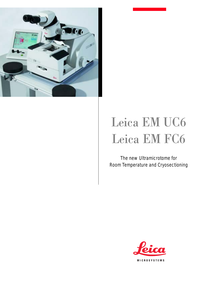

## Leica EM UC6 Leica EM FC6

The new Ultramicrotome for Room Temperature and Cryosectioning

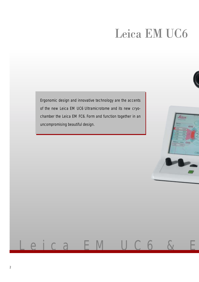## Leica EM UC6

Ergonomic design and innovative technology are the accents of the new Leica EM UC6 Ultramicrotome and its new cryochamber the Leica EM FC6. Form and function together in an uncompromising beautiful design.

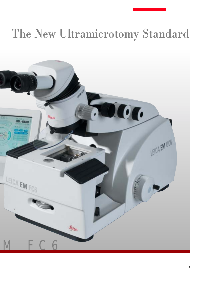## The New Ultramicrotomy Standard

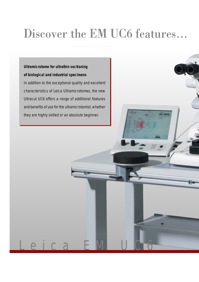**Ultramicrotome for ultrathin sectioning of biological and industrial specimens** In addition to the exceptional quality and excellent characteristics of Leica Ultramicrotomes, the new Ultracut UC6 offers a range of additional features and benefits of use for the ultramicrotomist, whether they are highly skilled or an absolute beginner.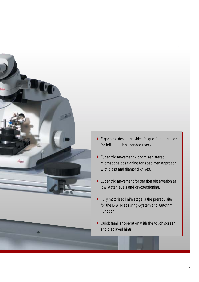

- Ergonomic design provides fatigue-free operation for left- and right-handed users.
- Eucentric movement optimised stereo microscope positioning for specimen approach with glass and diamond knives.
- Eucentric movement for section observation at low water levels and cryosectioning.
- Fully motorized knife stage is the prerequisite for the E-W Measuring-System and Autotrim Function.
- Quick familiar operation with the touch screen and displayed hints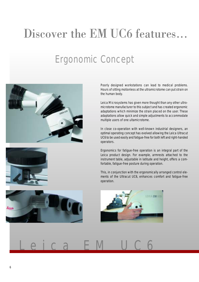the human body.

### Ergonomic Concept





operators. Ergonomics for fatigue-free operation is an integral part of the Leica product design. For example, armrests attached to the instrument table, adjustable in latitude and height, offers a comfortable, fatigue-free posture during operation.

multiple users of one ultamicrotome.

This, in conjunction with the ergonomically arranged control elements of the Ultracut UC6, enhances comfort and fatigue-free operation.

Poorly designed workstations can lead to medical problems. Hours of sitting motionless at the ultramicrotome can put strain on

Leica Microsystems has given more thought than any other ultromicrotome manufacturer to this subject and has created ergonomic adaptations which minimize the strain placed on the user. These adaptations allow quick and simple adjustments to accommodate

In close co-operation with well-known industrial designers, an optimal operating concept has evolved allowing the Leica Ultracut UC6 to be used easily and fatigue-free for both left and right-handed



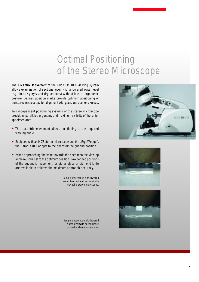### Optimal Positioning of the Stereo Microscope

The **Eucentric Movement** of the Leica EM UC6 viewing system allows examination of sections, even with a lowered water level (e.g. for Lowycryls and dry sections) without loss of ergonomic posture. Defined position marks provide optimum positioning of the stereo microscope for alignment with glass and diamond knives.

Two independent positioning systems of the stereo microscope provide unparalleled ergonomy and maximum visibility of the knifespecimen area:

- The eucentric movement allows positioning to the required viewing angle.
- Equipped with an MZ6 stereo microscope and the "ErgoWedge", the Ultracut UC6 adapts to the operators height and position
- When approaching the knife towards the specimen the viewing angle must be set to the optimum position. Two defined positions of the eucentric movement for either glass or diamond knife are available to achieve the maximum approach accuracy.

Sample observation with lowered water level **without** eucentrically moveable stereo microscope.

Sample observation withlowered water level **with** eucentrically moveable stereo microscope.





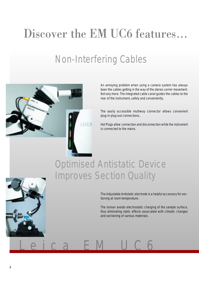### Non-Interfering Cables



An annoying problem when using a camera system has always been the cables getting in the way of the stereo carrier movement. Not any more. The integrated cable canal guides the cables to the rear of the instrument, safely and conveniently.

The easily accessible multiway connector allows convenient plug-in plug-out connections..

Hot Plugs allow connection and disconnection while the instrument is connected to the mains.

### Optimised Antistatic Device Improves Section Quality



The ioniser avoids electrostatic charging of the sample surface, thus eliminating static effects associated with climatic changes and sectioning of various materials.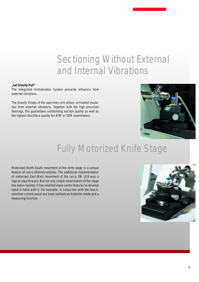### Sectioning Without External and Internal Vibrations

#### **"Let Gravity Pull"**

The Integrated Antivibration System prevents influence from external vibrations.

The Gravity Stroke of the specimen arm allows unrivalled insulation from external vibrations. Together with the high precision bearings, this guarantees outstanding section quality as well as the highest blockface quality for AFM or SEM examination.



### Fully Motorized Knife Stage

Motorized North-South movement of the knife stage is a unique feature of Leica Ultramicrotomes. The additional implementation of motorized East-West movement of the Leica EM UC6 was a logical step forward. But not only simple motorization of the stage has been realized. It has enabled many useful features to develop hand in hand with it. For example, in conjuction with the touchsensitive control panel we have realised an Autotrim mode and a measuring function.

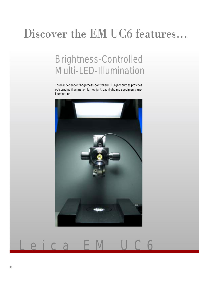### Brightness-Controlled Multi-LED-Illumination

Three independent brightness-controlled LED light sources provides outstanding illumination for toplight, backlight and specimen transillumination.

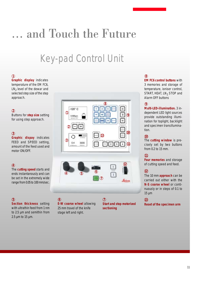## ... and Touch the Future

### Key-pad Control Unit

#### **1**

**Graphic display** indicates temperature of the EM FC6,  $LN<sub>2</sub>$  level of the dewar and selected step size of the step approach.

#### **2**

Buttons for **step size** setting for using step approach.

#### **3**

**Graphic dispay** indicates FEED and SPEED setting, amount of the feed used and motor ON/OFF.

#### **4**

The **cutting speed** starts and ends instantanously and can be set in the extremely wide range from 0.05 to 100 mm/sec.

**Section thickness** setting with ultrathin feed from 1 nm to 2.5 µm and semithin from 2.5 µm to 15 µm.





#### **E-W coarse wheel** allowing 25 mm travel of the knife stage left and right. **5 6 7**

**Start and stop motorized sectioning**

#### **8**

**EM FC6 control buttons** with 3 memories and storage of temperature, ioniser control, START, HEAT, LN<sub>2</sub> STOP and Alarm OFF buttons

#### **9**

**Multi-LED-illumination.** 3 independent LED light sources provide outstanding illumination for toplight, backlight and specimen transillumination.

#### **10**

The **cutting window** is precisely set by two buttons from 0.2 to 15 mm.

#### **11**

**Four memories** and storage of cutting speed and feed.

#### **12**

The 10 mm **approach** can be carried out either with the **N-S coarse wheel** or continuously or in steps of 0.1 to 15 µm

#### **13**

**Reset of the specimen arm**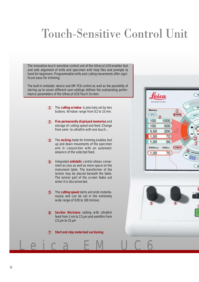## Touch-Sensitive Control Unit

The innovative touch-sensitive control unit of the Ultracut UC6 enables fast and safe alignment of knife and specimen with help files and prompts to hand for beginners. Programmable knife and cutting movements offer significant ease for trimming.

The built-in antistatic device and EM FC6 control as well as the possibility of storing up to seven different user-settings defines the outstanding performance parameters of the Ultracut UC6 Touch Screen.

- The **cutting window** is precisely set by two **1** buttons. Window range from 0.2 to 15 mm.
- **Five permanently displayed memories** and **2** storage of cutting speed and feed. Change from semi- to ultrathin with one touch...
- The **rocking** mode for trimming enables fast **3** up and down movements of the specimen arm in conjunction with an automatic advance of the selected feed.
- Integrated **antistatic** control allows conve-**4** nient access as well as more space on the instrument table. The transformer of the ioniser may be placed beneath the table. The ionisor part of the screen fades out when it is disconnected.
- The **cutting speed** starts and ends instantanously and can be set in the extremely wide range of 0.05 to 100 mm/sec. **5**
- **Section thickness** setting with ultrathin **6** feed from 1 nm to 2.5 µm and semithin from 2.5 µm to 15 µm

Leica EM UC6

**Start and stop motorized sectioning 7**



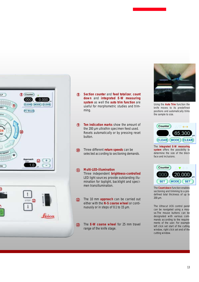



- **Section counter** and **feed totalizer**, **count down** and **integrated E-W measuring system** as well the **auto trim function** are useful for morphometric studies and trimming. 89<br>9
- **Ten indication marks** show the amount of  $\left( \mathbf{Q} \right)$ the 200 µm ultrathin specimen feed used. Resets automatically or by pressing reset button.
- Three different **return speeds** can be selected according to sectioning demands. **10**

#### **Multi-LED-illumination 11**

Three independent **brightness-controlled** LED light sources provide outstanding illumination for toplight, backlight and specimen transillumination.

- The 10 mm **approach** can be carried out either with the **N-S coarse wheel** or continuously or in steps of 0.1 to 15 µm. **12**
- The **E-W coarse wheel** for 25 mm travel range of the knife stage. **13**



Using the **Auto Trim** function the knife moves to its predefined positions and automatically trims the sample to size.



The **Integrated E-W measuring system** offers the possibility to determine the size of the block face and inclusions.



The **Count down** function enables sectioning and trimming to a predefined total thickness of up to 200 µm.

The Ultracut UC6 control panel can be navigated using a mouse.The mouse buttons can be designated with various commands according to the requirements of the user. For example left click set start of the cutting window, right click set end of the cutting window.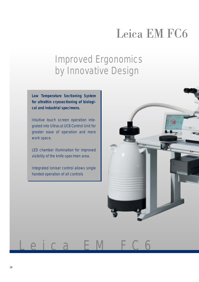## Leica EM FC6

### Improved Ergonomics by Innovative Design

**Low Temperature Sectioning System for ultrathin cryosectioning of biological and industrial specimens.**

Intuitive touch screen operation integrated into Ultracut UC6 Control Unit for greater ease of operation and more work space.

LED chamber illumination for improved visibility of the knife-specimen area.

Integrated Ioniser control allows single handed operation of all controls

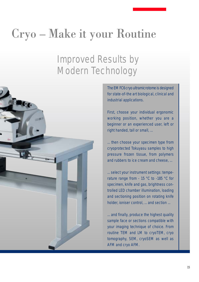## Cryo – Make it your Routine

### Improved Results by Modern Technology



The EM FC6 cryo ultramicrotome is designed for state-of-the art biological, clinical and industrial applications.

First, choose your individual ergonomic working position, whether you are a beginner or an experienced user, left or right handed, tall or small, ...

... then choose your specimen type from cryoprotected Tokuyasu samples to high pressure frozen tissue, from polymers and rubbers to ice cream and cheese, ...

... select your instrument settings: temperature range from - 15 °C to -185 °C for specimen, knife and gas, brightness controlled LED chamber illumination, loading and sectioning position on rotating knife holder, ioniser control, ... and section ...

... and finally, produce the highest quality sample face or sections compatible with your imaging technique of choice. From routine TEM and LM to cryoTEM, cryo tomography, SEM, cryoSEM as well as AFM and cryo AFM.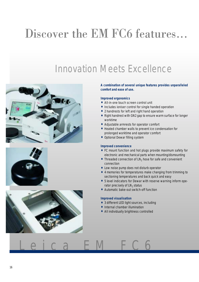### Innovation Meets Excellence







#### **A combination of several unique features provides unparalleled comfort and ease of use.**

#### **Improved ergonomics**

- All-in-one touch screen control unit
- Includes ioniser control for single handed operation
- 2 handrests for left and right hand operation
- Right handrest with GN2 gap to ensure warm surface for longer worktime
- Adjustable armrests for operator comfort
- Heated chamber walls to prevent ice condensation for prolonged worktime and operator comfort
- Optional Dewar filling system

#### **Improved convenience**

- FC mount function and hot plugs provide maximum safety for electronic and mechanical parts when mounting/dismounting
- Threaded connection of  $LN<sub>2</sub>$  hose for safe and convenient connection
- Low noise pump does not disturb operator
- 4 memories for temperatures make changing from trimming to sectioning temperatures and back quick and easy
- 5 level indicators for Dewar with reserve warning inform operator precisely of  $LN<sub>2</sub>$  status
- Automatic bake-out switch-off function

#### **Improved visualisation**

- 3 different LED light sources, including
- Internal chamber illumination
- All individually brightness controlled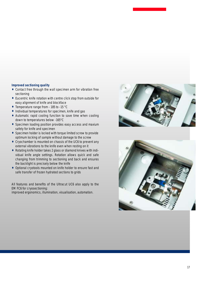#### **Improved sectioning quality**

- Contact free through the wall specimen arm for vibration free sectioning
- Eucentric knife rotation with centre click stop from outside for easy alignment of knife and blockface
- Temperature range from 185 to -15 °C
- Individual temperatures for specimen, knife and gas
- Automatic rapid cooling function to save time when cooling down to temperatures below -165°C
- Specimen loading position provides easy access and maxium safety for knife and specimen
- Specimen holder is locked with torque limited screw to provide optimum locking of sample without damage to the screw
- Cryochamber is mounted on chassis of the UC6 to prevent any external vibrations to the knife even when resting on it
- Rotating knife holder takes 2 glass or diamond knives with individual knife angle settings. Rotation allows quick and safe changing from trimming to sectioning and back and ensures the backlight is precisely below the knife
- Optional cryotools mounted on knife holder to ensure fast and safe transfer of frozen hydrated sections to grids

All features and benefits of the Ultracut UC6 also apply to the EM FC6 for cryosectioning:

improved ergonomics, illumination, visualisation, automation.



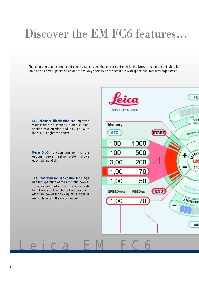The all-in-one touch screen control unit also includes the ioniser control. With the Dewar next to the anti-vibration table and all power packs on an out-of-the-way shelf, this provides more workspace and improves ergonomics.

**LED chamber illumination** for improved visualisation of sections during cutting, section manipulation and pick up. With individual brightness control.

**Pump On/Off** function together with the optional Dewar refilling system allows easy refilling of LN<sub>2</sub>.

The **integrated ioniser control** for single handed operation of the antistatic device. 10 indication marks show the power setting. The ON/OFF function allows switching off of the power for pick up of sections or manipulations in the cryochamber.

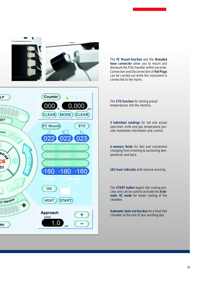

The **FC Mount function** and the **threaded hose connector** allow you to mount and dismount the FC6 chamber within seconds. Connection and Disconnection of **Hot Plugs** can be carried out while the instrument is connected to the mains.



The **STO function** for storing preset temperatures into the memory.

**3 individual readings** for set and actual specimen, knife and gas temperature provide immediate information and control.

**4 memory fields** for fast and convenient changing from trimming to sectioning temperatures and back.

**LN2 level indicator** with reserve warning.

The **START button** begins the cooling process and can be used to activate the **Automatic RC mode** for faster cooling of the chamber.

**Automatic bake out function** for a frost free chamber at the end of your working day.